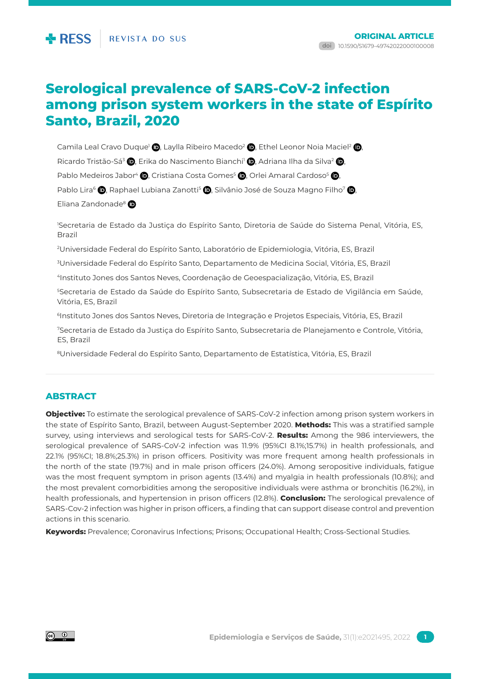# **Serological prevalence of SARS-CoV-2 infection among prison system workers in the state of Espírito Santo, Brazil, 2020**

Camila Leal Cravo Duque<sup>1</sup> **(b)**, Laylla Ribeiro Macedo<sup>2</sup> **(b)**, Ethel Leonor Noia Maciel<sup>2</sup> (b), Ricardo Tristão-Sá<sup>3</sup> (**b**, Erika do Nascimento Bianchi<sup>1</sup> (**b**, Adriana Ilha da Silva<sup>2</sup> (**b**, Pablo Medeiros Jabor<sup>4</sup> (D, Cristiana Costa Gomes<sup>5</sup> (D, Orlei Amaral Cardoso<sup>5</sup> (D, Pablo Lira<sup>6</sup> **D**, Raphael Lubiana Zanotti<sup>5</sup> D, Silvânio José de Souza Magno Filho<sup>7</sup> D, Eliana Zandonade<sup>8</sup>

1 Secretaria de Estado da Justiça do Espírito Santo, Diretoria de Saúde do Sistema Penal, Vitória, ES, Brazil

2 Universidade Federal do Espírito Santo, Laboratório de Epidemiologia, Vitória, ES, Brazil

3 Universidade Federal do Espírito Santo, Departamento de Medicina Social, Vitória, ES, Brazil

4Instituto Jones dos Santos Neves, Coordenação de Geoespacialização, Vitória, ES, Brazil

5 Secretaria de Estado da Saúde do Espírito Santo, Subsecretaria de Estado de Vigilância em Saúde, Vitória, ES, Brazil

6Instituto Jones dos Santos Neves, Diretoria de Integração e Projetos Especiais, Vitória, ES, Brazil

7Secretaria de Estado da Justiça do Espírito Santo, Subsecretaria de Planejamento e Controle, Vitória, ES, Brazil

8Universidade Federal do Espírito Santo, Departamento de Estatística, Vitória, ES, Brazil

# **ABSTRACT**

**Objective:** To estimate the serological prevalence of SARS-CoV-2 infection among prison system workers in the state of Espírito Santo, Brazil, between August-September 2020. **Methods:** This was a stratified sample survey, using interviews and serological tests for SARS-CoV-2. **Results:** Among the 986 interviewers, the serological prevalence of SARS-CoV-2 infection was 11.9% (95%CI 8.1%;15.7%) in health professionals, and 22.1% (95%CI; 18.8%;25.3%) in prison officers. Positivity was more frequent among health professionals in the north of the state (19.7%) and in male prison officers (24.0%). Among seropositive individuals, fatigue was the most frequent symptom in prison agents (13.4%) and myalgia in health professionals (10.8%); and the most prevalent comorbidities among the seropositive individuals were asthma or bronchitis (16.2%), in health professionals, and hypertension in prison officers (12.8%). **Conclusion:** The serological prevalence of SARS-Cov-2 infection was higher in prison officers, a finding that can support disease control and prevention actions in this scenario.

**Keywords:** Prevalence; Coronavirus Infections; Prisons; Occupational Health; Cross-Sectional Studies.

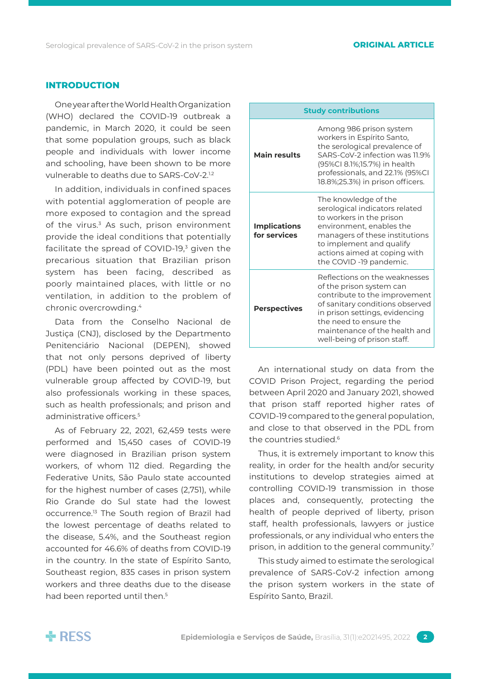### **Introduction**

One year after the World Health Organization (WHO) declared the COVID-19 outbreak a pandemic, in March 2020, it could be seen that some population groups, such as black people and individuals with lower income and schooling, have been shown to be more vulnerable to deaths due to SARS-CoV-2.<sup>1.2</sup>

In addition, individuals in confined spaces with potential agglomeration of people are more exposed to contagion and the spread of the virus.<sup>3</sup> As such, prison environment provide the ideal conditions that potentially facilitate the spread of COVID-19,<sup>3</sup> given the precarious situation that Brazilian prison system has been facing, described as poorly maintained places, with little or no ventilation, in addition to the problem of chronic overcrowding.4

Data from the Conselho Nacional de Justiça (CNJ), disclosed by the Departmento Penitenciário Nacional (DEPEN), showed that not only persons deprived of liberty (PDL) have been pointed out as the most vulnerable group affected by COVID-19, but also professionals working in these spaces, such as health professionals; and prison and administrative officers.<sup>5</sup>

As of February 22, 2021, 62,459 tests were performed and 15,450 cases of COVID-19 were diagnosed in Brazilian prison system workers, of whom 112 died. Regarding the Federative Units, São Paulo state accounted for the highest number of cases (2,751), while Rio Grande do Sul state had the lowest occurrence.13 The South region of Brazil had the lowest percentage of deaths related to the disease, 5.4%, and the Southeast region accounted for 46.6% of deaths from COVID-19 in the country. In the state of Espírito Santo, Southeast region, 835 cases in prison system workers and three deaths due to the disease had been reported until then.<sup>5</sup>

| <b>Study contributions</b>          |                                                                                                                                                                                                                                                           |  |  |  |  |  |
|-------------------------------------|-----------------------------------------------------------------------------------------------------------------------------------------------------------------------------------------------------------------------------------------------------------|--|--|--|--|--|
| <b>Main results</b>                 | Among 986 prison system<br>workers in Espírito Santo,<br>the serological prevalence of<br>SARS-CoV-2 infection was 11.9%<br>(95%CI 8.1%;15.7%) in health<br>professionals, and 22.1% (95%CI<br>18.8%;25.3%) in prison officers.                           |  |  |  |  |  |
| <b>Implications</b><br>for services | The knowledge of the<br>serological indicators related<br>to workers in the prison<br>environment, enables the<br>managers of these institutions<br>to implement and qualify<br>actions aimed at coping with<br>the COVID -19 pandemic.                   |  |  |  |  |  |
| <b>Perspectives</b>                 | Reflections on the weaknesses<br>of the prison system can<br>contribute to the improvement<br>of sanitary conditions observed<br>in prison settings, evidencing<br>the need to ensure the<br>maintenance of the health and<br>well-being of prison staff. |  |  |  |  |  |

An international study on data from the COVID Prison Project, regarding the period between April 2020 and January 2021, showed that prison staff reported higher rates of COVID-19 compared to the general population, and close to that observed in the PDL from the countries studied.6

Thus, it is extremely important to know this reality, in order for the health and/or security institutions to develop strategies aimed at controlling COVID-19 transmission in those places and, consequently, protecting the health of people deprived of liberty, prison staff, health professionals, lawyers or justice professionals, or any individual who enters the prison, in addition to the general community.7

This study aimed to estimate the serological prevalence of SARS-CoV-2 infection among the prison system workers in the state of Espírito Santo, Brazil.

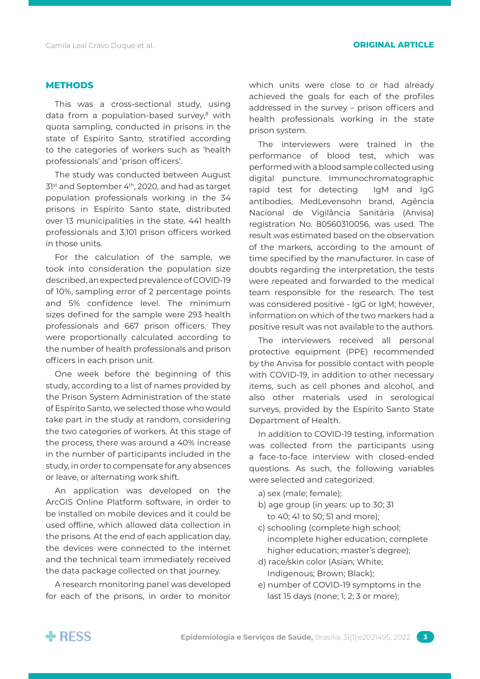### **Methods**

This was a cross-sectional study, using data from a population-based survey,<sup>8</sup> with quota sampling, conducted in prisons in the state of Espírito Santo, stratified according to the categories of workers such as 'health professionals' and 'prison officers'.

The study was conducted between August 3<sup>1st</sup> and September 4<sup>th</sup>, 2020, and had as target population professionals working in the 34 prisons in Espírito Santo state, distributed over 13 municipalities in the state. 441 health professionals and 3,101 prison officers worked in those units.

For the calculation of the sample, we took into consideration the population size described, an expected prevalence of COVID-19 of 10%, sampling error of 2 percentage points and 5% confidence level. The minimum sizes defined for the sample were 293 health professionals and 667 prison officers. They were proportionally calculated according to the number of health professionals and prison officers in each prison unit.

One week before the beginning of this study, according to a list of names provided by the Prison System Administration of the state of Espírito Santo, we selected those who would take part in the study at random, considering the two categories of workers. At this stage of the process, there was around a 40% increase in the number of participants included in the study, in order to compensate for any absences or leave, or alternating work shift.

An application was developed on the ArcGIS Online Platform software, in order to be installed on mobile devices and it could be used offline, which allowed data collection in the prisons. At the end of each application day, the devices were connected to the internet and the technical team immediately received the data package collected on that journey.

A research monitoring panel was developed for each of the prisons, in order to monitor which units were close to or had already achieved the goals for each of the profiles addressed in the survey – prison officers and health professionals working in the state prison system.

The interviewers were trained in the performance of blood test, which was performed with a blood sample collected using digital puncture. Immunochromatographic rapid test for detecting IgM and IgG antibodies, MedLevensohn brand, Agência Nacional de Vigilância Sanitária (Anvisa) registration No. 80560310056, was used. The result was estimated based on the observation of the markers, according to the amount of time specified by the manufacturer. In case of doubts regarding the interpretation, the tests were repeated and forwarded to the medical team responsible for the research. The test was considered positive - IgG or IgM; however, information on which of the two markers had a positive result was not available to the authors.

The interviewers received all personal protective equipment (PPE) recommended by the Anvisa for possible contact with people with COVID-19, in addition to other necessary items, such as cell phones and alcohol, and also other materials used in serological surveys, provided by the Espírito Santo State Department of Health.

In addition to COVID-19 testing, information was collected from the participants using a face-to-face interview with closed-ended questions. As such, the following variables were selected and categorized:

- a) sex (male; female);
- b) age group (in years: up to 30; 31 to 40; 41 to 50; 51 and more);
- c) schooling (complete high school; incomplete higher education; complete higher education; master's degree);
- d) race/skin color (Asian; White; Indigenous; Brown; Black);
- e) number of COVID-19 symptoms in the last 15 days (none; 1; 2; 3 or more);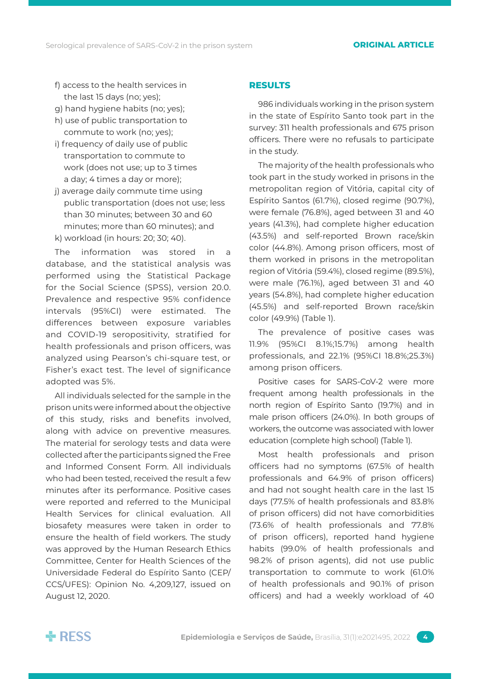- f) access to the health services in the last 15 days (no; yes);
- g) hand hygiene habits (no; yes);
- h) use of public transportation to commute to work (no; yes);
- i) frequency of daily use of public transportation to commute to work (does not use; up to 3 times a day; 4 times a day or more);
- j) average daily commute time using public transportation (does not use; less than 30 minutes; between 30 and 60 minutes; more than 60 minutes); and k) workload (in hours: 20; 30; 40).

The information was stored in a database, and the statistical analysis was performed using the Statistical Package for the Social Science (SPSS), version 20.0. Prevalence and respective 95% confidence intervals (95%CI) were estimated. The differences between exposure variables and COVID-19 seropositivity, stratified for health professionals and prison officers, was analyzed using Pearson's chi-square test, or Fisher's exact test. The level of significance adopted was 5%.

All individuals selected for the sample in the prison units were informed about the objective of this study, risks and benefits involved, along with advice on preventive measures. The material for serology tests and data were collected after the participants signed the Free and Informed Consent Form. All individuals who had been tested, received the result a few minutes after its performance. Positive cases were reported and referred to the Municipal Health Services for clinical evaluation. All biosafety measures were taken in order to ensure the health of field workers. The study was approved by the Human Research Ethics Committee, Center for Health Sciences of the Universidade Federal do Espírito Santo (CEP/ CCS/UFES): Opinion No. 4,209,127, issued on August 12, 2020.

# **Results**

986 individuals working in the prison system in the state of Espírito Santo took part in the survey: 311 health professionals and 675 prison officers. There were no refusals to participate in the study.

The majority of the health professionals who took part in the study worked in prisons in the metropolitan region of Vitória, capital city of Espírito Santos (61.7%), closed regime (90.7%), were female (76.8%), aged between 31 and 40 years (41.3%), had complete higher education (43.5%) and self-reported Brown race/skin color (44.8%). Among prison officers, most of them worked in prisons in the metropolitan region of Vitória (59.4%), closed regime (89.5%), were male (76.1%), aged between 31 and 40 years (54.8%), had complete higher education (45.5%) and self-reported Brown race/skin color (49.9%) (Table 1).

The prevalence of positive cases was 11.9% (95%CI 8.1%;15.7%) among health professionals, and 22.1% (95%CI 18.8%;25.3%) among prison officers.

Positive cases for SARS-CoV-2 were more frequent among health professionals in the north region of Espírito Santo (19.7%) and in male prison officers (24.0%). In both groups of workers, the outcome was associated with lower education (complete high school) (Table 1).

Most health professionals and prison officers had no symptoms (67.5% of health professionals and 64.9% of prison officers) and had not sought health care in the last 15 days (77.5% of health professionals and 83.8% of prison officers) did not have comorbidities (73.6% of health professionals and 77.8% of prison officers), reported hand hygiene habits (99.0% of health professionals and 98.2% of prison agents), did not use public transportation to commute to work (61.0% of health professionals and 90.1% of prison officers) and had a weekly workload of 40

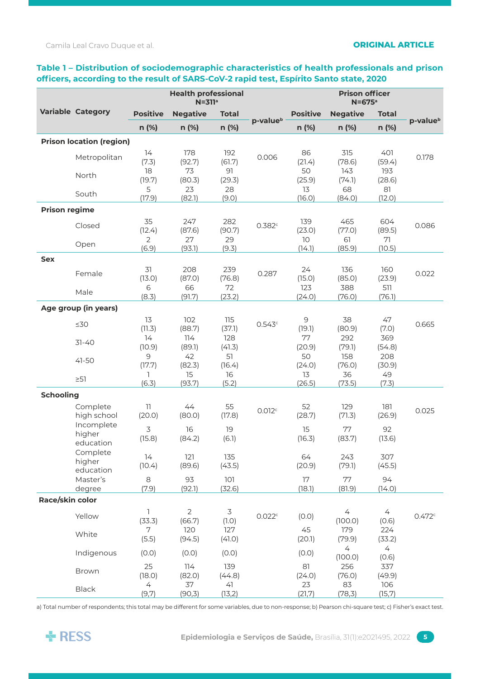# **Table 1 – Distribution of sociodemographic characteristics of health professionals and prison officers, according to the result of SARS-CoV-2 rapid test, Espírito Santo state, 2020**

|                      |                                       | <b>Health professional</b><br>$N = 311a$ |                          |                         |                      | <b>Prison officer</b><br>$N = 675$ <sup>a</sup> |                           |                                 |                      |  |
|----------------------|---------------------------------------|------------------------------------------|--------------------------|-------------------------|----------------------|-------------------------------------------------|---------------------------|---------------------------------|----------------------|--|
|                      | <b>Variable Category</b>              | <b>Positive</b>                          | <b>Negative</b>          | <b>Total</b>            |                      | <b>Positive</b>                                 | <b>Negative</b>           | <b>Total</b>                    |                      |  |
|                      |                                       | n (%)                                    | n (%)                    | n (%)                   | p-value <sup>b</sup> | n (%)                                           | n (%)                     | n (%)                           | p-value <sup>b</sup> |  |
|                      | <b>Prison location (region)</b>       |                                          |                          |                         |                      |                                                 |                           |                                 |                      |  |
|                      | Metropolitan                          | 14<br>(7.3)<br>18                        | 178<br>(92.7)<br>73      | 192<br>(61.7)<br>91     | 0.006                | 86<br>(21.4)<br>50                              | 315<br>(78.6)<br>143      | 401<br>(59.4)<br>193            | 0.178                |  |
|                      | North                                 | (19.7)<br>5                              | (80.3)<br>23             | (29.3)<br>28            |                      | (25.9)<br>13                                    | (74.1)<br>68              | (28.6)<br>81                    |                      |  |
|                      | South                                 | (17.9)                                   | (82.1)                   | (9.0)                   |                      | (16.0)                                          | (84.0)                    | (12.0)                          |                      |  |
| <b>Prison regime</b> |                                       |                                          |                          |                         |                      |                                                 |                           |                                 |                      |  |
|                      | Closed                                | 35<br>(12.4)<br>$\overline{2}$           | 247<br>(87.6)<br>27      | 282<br>(90.7)<br>29     | 0.382c               | 139<br>(23.0)<br>10                             | 465<br>(77.0)<br>61       | 604<br>(89.5)<br>71             | 0.086                |  |
|                      | Open                                  | (6.9)                                    | (93.1)                   | (9.3)                   |                      | (14.1)                                          | (85.9)                    | (10.5)                          |                      |  |
| <b>Sex</b>           |                                       |                                          |                          |                         |                      |                                                 |                           |                                 |                      |  |
|                      | Female                                | 31<br>(13.0)<br>6                        | 208<br>(87.0)<br>66      | 239<br>(76.8)<br>72     | 0.287                | 24<br>(15.0)<br>123                             | 136<br>(85.0)<br>388      | 160<br>(23.9)<br>511            | 0.022                |  |
|                      | Male                                  | (8.3)                                    | (91.7)                   | (23.2)                  |                      | (24.0)                                          | (76.0)                    | (76.1)                          |                      |  |
|                      | Age group (in years)                  |                                          |                          |                         |                      |                                                 |                           |                                 |                      |  |
|                      | $\leq 30$                             | 13<br>(11.3)                             | 102<br>(88.7)            | 115<br>(37.1)           | 0.543c               | 9<br>(19.1)                                     | 38<br>(80.9)              | 47<br>(7.0)                     | 0.665                |  |
|                      | $31 - 40$                             | 14<br>(10.9)<br>9                        | 114<br>(89.1)<br>42      | 128<br>(41.3)<br>51     |                      | 77<br>(20.9)<br>50                              | 292<br>(79.1)<br>158      | 369<br>(54.8)<br>208            |                      |  |
|                      | $41 - 50$<br>$\geq$ 51                | (17.7)<br>Т.                             | (82.3)<br>15             | (16.4)<br>16            |                      | (24.0)<br>13                                    | (76.0)<br>36              | (30.9)<br>49                    |                      |  |
|                      |                                       | (6.3)                                    | (93.7)                   | (5.2)                   |                      | (26.5)                                          | (73.5)                    | (7.3)                           |                      |  |
| <b>Schooling</b>     |                                       |                                          |                          |                         |                      |                                                 |                           |                                 |                      |  |
|                      | Complete<br>high school<br>Incomplete | 11<br>(20.0)                             | 44<br>(80.0)             | 55<br>(17.8)            | 0.012 <sup>c</sup>   | 52<br>(28.7)                                    | 129<br>(71.3)             | 181<br>(26.9)                   | 0.025                |  |
|                      | higher<br>education                   | 3<br>(15.8)                              | 16<br>(84.2)             | 19<br>(6.1)             |                      | 15<br>(16.3)                                    | 77<br>(83.7)              | 92<br>(13.6)                    |                      |  |
|                      | Complete<br>higher<br>education       | 14<br>(10.4)                             | 121<br>(89.6)            | 135<br>(43.5)           |                      | 64<br>(20.9)                                    | 243<br>(79.1)             | 307<br>(45.5)                   |                      |  |
|                      | Master's<br>degree                    | 8<br>(7.9)                               | 93<br>(92.1)             | 101<br>(32.6)           |                      | 17<br>(18.1)                                    | 77<br>(81.9)              | 94<br>(14.0)                    |                      |  |
| Race/skin color      |                                       |                                          |                          |                         |                      |                                                 |                           |                                 |                      |  |
|                      | Yellow                                | T<br>(33.3)                              | $\overline{2}$<br>(66.7) | $\mathfrak{Z}$<br>(1.0) | 0.022c               | (0.0)                                           | $\overline{4}$<br>(100.0) | $\overline{4}$<br>(0.6)         | 0.472c               |  |
|                      | White                                 | 7<br>(5.5)                               | 120<br>(94.5)            | 127<br>(41.0)           |                      | 45<br>(20.1)                                    | 179<br>(79.9)<br>4        | 224<br>(33.2)<br>$\overline{4}$ |                      |  |
|                      | Indigenous                            | (0.0)                                    | (0.0)                    | (0.0)                   |                      | (0.0)                                           | (100.0)                   | (0.6)                           |                      |  |
|                      | Brown                                 | 25<br>(18.0)                             | 114<br>(82.0)            | 139<br>(44.8)           |                      | 81<br>(24.0)                                    | 256<br>(76.0)             | 337<br>(49.9)                   |                      |  |
|                      | <b>Black</b>                          | 4<br>(9,7)                               | 37<br>(90,3)             | 41<br>(13,2)            |                      | 23<br>(21,7)                                    | 83<br>(78, 3)             | 106<br>(15,7)                   |                      |  |

a) Total number of respondents; this total may be different for some variables, due to non-response; b) Pearson chi-square test; c) Fisher's exact test.

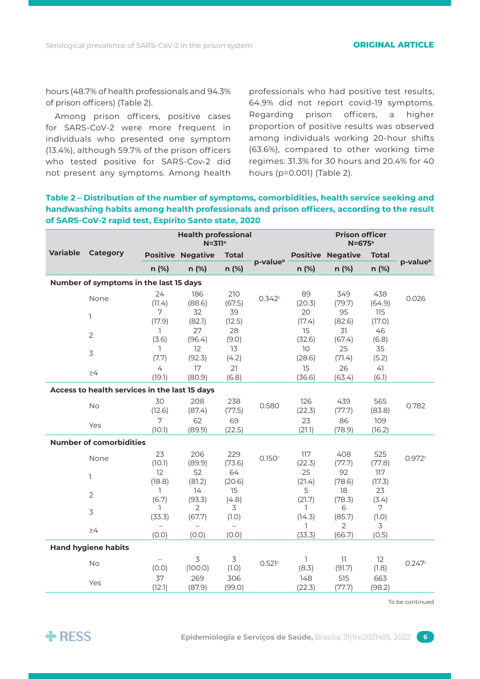hours (48.7% of health professionals and 94.3% of prison officers) (Table 2).

Among prison officers, positive cases for SARS-CoV-2 were more frequent in individuals who presented one symptom (13.4%), although 59.7% of the prison officers who tested positive for SARS-Cov-2 did not present any symptoms. Among health professionals who had positive test results, 64.9% did not report covid-19 symptoms. Regarding prison officers, a higher proportion of positive results was observed among individuals working 20-hour shifts (63.6%), compared to other working time regimes: 31.3% for 30 hours and 20.4% for 40 hours (p=0.001) (Table 2).

**Table 2 – Distribution of the number of symptoms, comorbidities, health service seeking and handwashing habits among health professionals and prison officers, according to the result of SARS-CoV-2 rapid test, Espírito Santo state, 2020**

|                                        |                                               |                          | <b>Health professional</b><br>$N = 311a$ |               |                      | <b>Prison officer</b><br>$N = 675$ <sup>a</sup> |                          |                 |                      |
|----------------------------------------|-----------------------------------------------|--------------------------|------------------------------------------|---------------|----------------------|-------------------------------------------------|--------------------------|-----------------|----------------------|
| <b>Variable</b>                        | <b>Category</b>                               |                          | <b>Positive Negative</b>                 | <b>Total</b>  |                      |                                                 | <b>Positive Negative</b> | <b>Total</b>    |                      |
|                                        |                                               | n (%)                    | $n$ (%)                                  | n (%)         | p-value <sup>b</sup> | n (%)                                           | $n$ (%)                  | n (%)           | p-value <sup>b</sup> |
| Number of symptoms in the last 15 days |                                               |                          |                                          |               |                      |                                                 |                          |                 |                      |
|                                        | None                                          | 24<br>(11.4)             | 186<br>(88.6)                            | 210<br>(67.5) | 0.342c               | 89<br>(20.3)                                    | 349<br>(79.7)            | 438<br>(64.9)   | 0.026                |
|                                        | $\mathbb{I}$                                  | 7<br>(17.9)              | 32<br>(82.1)                             | 39<br>(12.5)  |                      | 20<br>(17.4)                                    | 95<br>(82.6)             | 115<br>(17.0)   |                      |
|                                        | $\overline{2}$                                | 1<br>(3.6)               | 27<br>(96.4)                             | 28<br>(9.0)   |                      | 15<br>(32.6)                                    | 31<br>(67.4)             | 46<br>(6.8)     |                      |
|                                        | $\overline{3}$                                | $\mathbb{I}$<br>(7.7)    | 12<br>(92.3)                             | 13<br>(4.2)   |                      | 10<br>(28.6)                                    | 25<br>(71.4)             | 35<br>(5.2)     |                      |
|                                        | $\geq 4$                                      | $\overline{4}$<br>(19.1) | 17<br>(80.9)                             | 21<br>(6.8)   |                      | 15<br>(36.6)                                    | 26<br>(63.4)             | 41<br>(6.1)     |                      |
|                                        | Access to health services in the last 15 days |                          |                                          |               |                      |                                                 |                          |                 |                      |
|                                        | <b>No</b>                                     | 30<br>(12.6)             | 208<br>(87.4)                            | 238<br>(77.5) | 0.580                | 126<br>(22.3)                                   | 439<br>(77.7)            | 565<br>(83.8)   | 0.782                |
|                                        | Yes                                           | 7<br>(10.1)              | 62<br>(89.9)                             | 69<br>(22.5)  |                      | 23<br>(21.1)                                    | 86<br>(78.9)             | 109<br>(16.2)   |                      |
| <b>Number of comorbidities</b>         |                                               |                          |                                          |               |                      |                                                 |                          |                 |                      |
|                                        | None                                          | 23<br>(10.1)             | 206<br>(89.9)                            | 229<br>(73.6) | 0.150c               | 117<br>(22.3)                                   | 408<br>(77.7)            | 525<br>(77.8)   | 0.972c               |
|                                        | 1                                             | 12<br>(18.8)             | 52<br>(81.2)                             | 64<br>(20.6)  |                      | 25<br>(21.4)                                    | 92<br>(78.6)             | 117<br>(17.3)   |                      |
|                                        | $\overline{2}$                                | $\mathbb{I}$<br>(6.7)    | 14<br>(93.3)                             | 15<br>(4.8)   |                      | 5<br>(21.7)                                     | 18<br>(78.3)             | 23<br>(3.4)     |                      |
|                                        | 3                                             | 1<br>(33.3)              | 2<br>(67.7)                              | 3<br>(1.0)    |                      | 1.<br>(14.3)<br>ı.                              | 6<br>(85.7)<br>2         | 7<br>(1.0)<br>3 |                      |
|                                        | $\geq 4$                                      | (0.0)                    | (0.0)                                    | (0.0)         |                      | (33.3)                                          | (66.7)                   | (0.5)           |                      |
|                                        | <b>Hand hygiene habits</b>                    |                          |                                          |               |                      |                                                 |                          |                 |                      |
|                                        | No                                            | (0.0)                    | 3<br>(100.0)                             | 3<br>(1.0)    | 0.521c               | $\mathbb{I}$<br>(8.3)                           | 11<br>(91.7)             | 12<br>(1.8)     | 0.247c               |
|                                        | Yes                                           | 37<br>(12.1)             | 269<br>(87.9)                            | 306<br>(99.0) |                      | 148<br>(22.3)                                   | 515<br>(77.7)            | 663<br>(98.2)   |                      |

To be continued

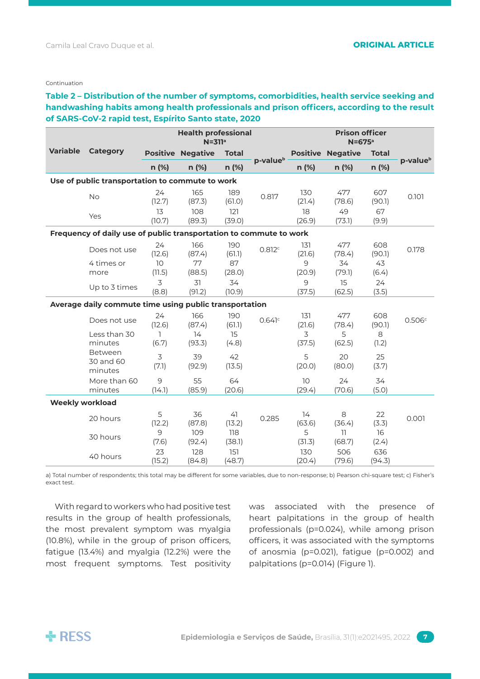### Continuation

**Table 2 – Distribution of the number of symptoms, comorbidities, health service seeking and handwashing habits among health professionals and prison officers, according to the result of SARS-CoV-2 rapid test, Espírito Santo state, 2020**

|                                                 |                                                                    | <b>Health professional</b><br>$N = 311a$ |                          |                     | <b>Prison officer</b><br>$N = 675$ <sup>a</sup> |                           |                          |                     |                      |
|-------------------------------------------------|--------------------------------------------------------------------|------------------------------------------|--------------------------|---------------------|-------------------------------------------------|---------------------------|--------------------------|---------------------|----------------------|
| <b>Variable</b>                                 | Category                                                           |                                          | <b>Positive Negative</b> | <b>Total</b>        | p-value <sup>b</sup>                            |                           | <b>Positive Negative</b> | <b>Total</b>        |                      |
|                                                 |                                                                    | n (%)                                    | n (%)                    | n (%)               |                                                 | n (%)                     | n (%)                    | n (%)               | p-value <sup>b</sup> |
| Use of public transportation to commute to work |                                                                    |                                          |                          |                     |                                                 |                           |                          |                     |                      |
|                                                 | <b>No</b>                                                          | 24<br>(12.7)                             | 165<br>(87.3)            | 189<br>(61.0)       | 0.817                                           | 130<br>(21.4)             | 477<br>(78.6)            | 607<br>(90.1)       | 0.101                |
|                                                 | Yes                                                                | 13<br>(10.7)                             | 108<br>(89.3)            | 121<br>(39.0)       |                                                 | 18<br>(26.9)              | 49<br>(73.1)             | 67<br>(9.9)         |                      |
|                                                 | Frequency of daily use of public transportation to commute to work |                                          |                          |                     |                                                 |                           |                          |                     |                      |
|                                                 | Does not use<br>4 times or                                         | 24<br>(12.6)<br>10                       | 166<br>(87.4)<br>77      | 190<br>(61.1)<br>87 | 0.812c                                          | 131<br>(21.6)<br>9        | 477<br>(78.4)<br>34      | 608<br>(90.1)<br>43 | 0.178                |
|                                                 | more                                                               | (11.5)                                   | (88.5)                   | (28.0)              |                                                 | (20.9)                    | (79.1)                   | (6.4)               |                      |
|                                                 | Up to 3 times                                                      | 3<br>(8.8)                               | 31<br>(91.2)             | 34<br>(10.9)        |                                                 | 9<br>(37.5)               | 15<br>(62.5)             | 24<br>(3.5)         |                      |
|                                                 | Average daily commute time using public transportation             |                                          |                          |                     |                                                 |                           |                          |                     |                      |
|                                                 | Does not use                                                       | 24<br>(12.6)                             | 166<br>(87.4)            | 190<br>(61.1)       | 0.641c                                          | 131<br>(21.6)             | 477<br>(78.4)            | 608<br>(90.1)       | 0.506c               |
|                                                 | Less than 30<br>minutes                                            | ı<br>(6.7)                               | 14<br>(93.3)             | 15<br>(4.8)         |                                                 | 3<br>(37.5)               | 5<br>(62.5)              | 8<br>(1.2)          |                      |
|                                                 | Between<br>30 and 60<br>minutes                                    | 3<br>(7.1)                               | 39<br>(92.9)             | 42<br>(13.5)        |                                                 | 5<br>(20.0)               | 20<br>(80.0)             | 25<br>(3.7)         |                      |
|                                                 | More than 60<br>minutes                                            | 9<br>(14.1)                              | 55<br>(85.9)             | 64<br>(20.6)        |                                                 | 10 <sup>°</sup><br>(29.4) | 24<br>(70.6)             | 34<br>(5.0)         |                      |
| <b>Weekly workload</b>                          |                                                                    |                                          |                          |                     |                                                 |                           |                          |                     |                      |
|                                                 | 20 hours                                                           | 5<br>(12.2)                              | 36<br>(87.8)             | 41<br>(13.2)        | 0.285                                           | 14<br>(63.6)              | 8<br>(36.4)              | 22<br>(3.3)         | 0.001                |
|                                                 | 30 hours                                                           | 9<br>(7.6)                               | 109<br>(92.4)            | 118<br>(38.1)       |                                                 | 5<br>(31.3)               | 11<br>(68.7)             | 16<br>(2.4)         |                      |
|                                                 | 40 hours                                                           | 23<br>(15.2)                             | 128<br>(84.8)            | 151<br>(48.7)       |                                                 | 130<br>(20.4)             | 506<br>(79.6)            | 636<br>(94.3)       |                      |

a) Total number of respondents; this total may be different for some variables, due to non-response; b) Pearson chi-square test; c) Fisher's exact test.

With regard to workers who had positive test results in the group of health professionals, the most prevalent symptom was myalgia (10.8%), while in the group of prison officers, fatigue (13.4%) and myalgia (12.2%) were the most frequent symptoms. Test positivity was associated with the presence of heart palpitations in the group of health professionals (p=0.024), while among prison officers, it was associated with the symptoms of anosmia (p=0.021), fatigue (p=0.002) and palpitations (p=0.014) (Figure 1).

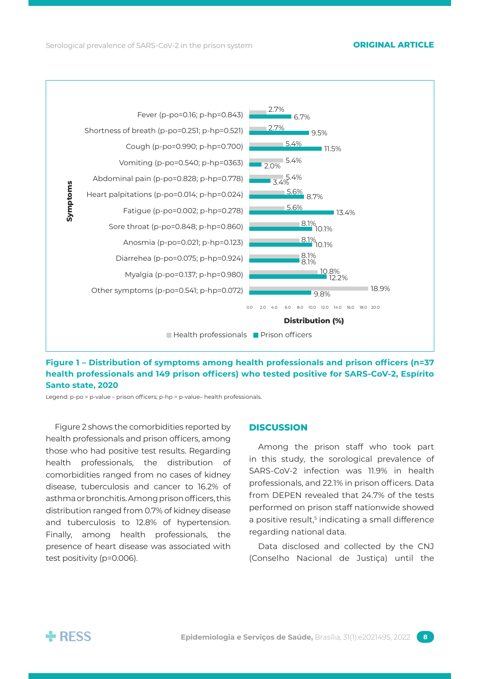



Legend: p-po = p-value – prison officers; p-hp = p-value– health professionals.

Figure 2 shows the comorbidities reported by health professionals and prison officers, among those who had positive test results. Regarding health professionals, the distribution of comorbidities ranged from no cases of kidney disease, tuberculosis and cancer to 16.2% of asthma or bronchitis. Among prison officers, this distribution ranged from 0.7% of kidney disease and tuberculosis to 12.8% of hypertension. Finally, among health professionals, the presence of heart disease was associated with test positivity (p=0.006).

### **Discussion**

Among the prison staff who took part in this study, the sorological prevalence of SARS-CoV-2 infection was 11.9% in health professionals, and 22.1% in prison officers. Data from DEPEN revealed that 24.7% of the tests performed on prison staff nationwide showed a positive result,<sup>5</sup> indicating a small difference regarding national data.

Data disclosed and collected by the CNJ (Conselho Nacional de Justiça) until the

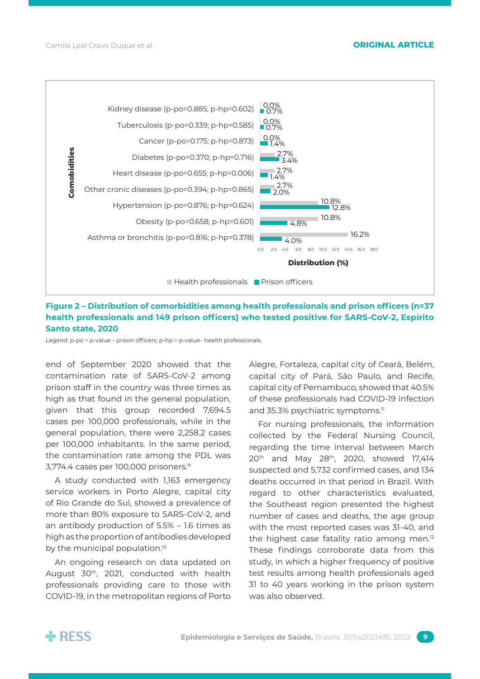

# **Figure 2 – Distribution of comorbidities among health professionals and prison officers (n=37 health professionals and 149 prison officers) who tested positive for SARS-CoV-2, Espírito Santo state, 2020**

Legend: p-po = p-value – prison officers; p-hp = p-value– health professionals.

end of September 2020 showed that the contamination rate of SARS-CoV-2 among prison staff in the country was three times as high as that found in the general population, given that this group recorded 7,694.5 cases per 100,000 professionals, while in the general population, there were 2,258.2 cases per 100,000 inhabitants. In the same period, the contamination rate among the PDL was 3,774.4 cases per 100,000 prisoners.9

A study conducted with 1,163 emergency service workers in Porto Alegre, capital city of Rio Grande do Sul, showed a prevalence of more than 80% exposure to SARS-CoV-2, and an antibody production of 5.5% – 1.6 times as high as the proportion of antibodies developed by the municipal population.<sup>10</sup>

An ongoing research on data updated on August 30<sup>th</sup>, 2021, conducted with health professionals providing care to those with COVID-19, in the metropolitan regions of Porto Alegre, Fortaleza, capital city of Ceará, Belém, capital city of Pará, São Paulo, and Recife, capital city of Pernambuco, showed that 40.5% of these professionals had COVID-19 infection and 35.3% psychiatric symptoms.<sup>11</sup>

For nursing professionals, the information collected by the Federal Nursing Council, regarding the time interval between March 20<sup>th</sup> and May 28<sup>th</sup>, 2020, showed 17,414 suspected and 5,732 confirmed cases, and 134 deaths occurred in that period in Brazil. With regard to other characteristics evaluated, the Southeast region presented the highest number of cases and deaths, the age group with the most reported cases was 31-40, and the highest case fatality ratio among men.<sup>12</sup> These findings corroborate data from this study, in which a higher frequency of positive test results among health professionals aged 31 to 40 years working in the prison system was also observed.

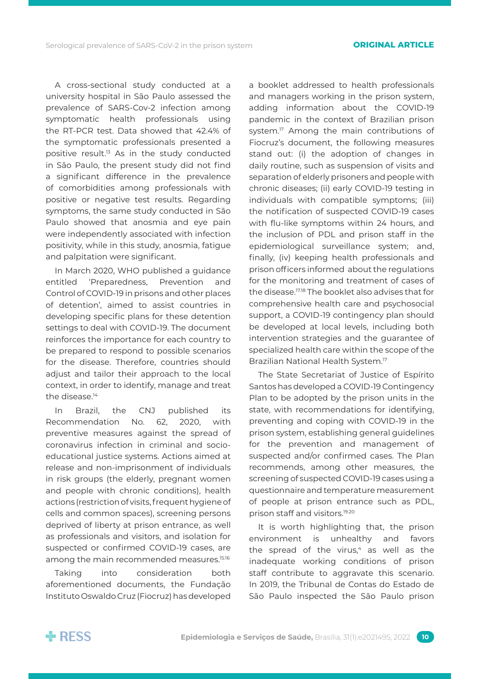A cross-sectional study conducted at a university hospital in São Paulo assessed the prevalence of SARS-Cov-2 infection among symptomatic health professionals using the RT-PCR test. Data showed that 42.4% of the symptomatic professionals presented a positive result.13 As in the study conducted in São Paulo, the present study did not find a significant difference in the prevalence of comorbidities among professionals with positive or negative test results. Regarding symptoms, the same study conducted in São Paulo showed that anosmia and eye pain were independently associated with infection positivity, while in this study, anosmia, fatigue and palpitation were significant.

In March 2020, WHO published a guidance entitled 'Preparedness, Prevention and Control of COVID-19 in prisons and other places of detention', aimed to assist countries in developing specific plans for these detention settings to deal with COVID-19. The document reinforces the importance for each country to be prepared to respond to possible scenarios for the disease. Therefore, countries should adjust and tailor their approach to the local context, in order to identify, manage and treat the disease<sup>14</sup>

In Brazil, the CNJ published its Recommendation No. 62, 2020, with preventive measures against the spread of coronavirus infection in criminal and socioeducational justice systems. Actions aimed at release and non-imprisonment of individuals in risk groups (the elderly, pregnant women and people with chronic conditions), health actions (restriction of visits, frequent hygiene of cells and common spaces), screening persons deprived of liberty at prison entrance, as well as professionals and visitors, and isolation for suspected or confirmed COVID-19 cases, are among the main recommended measures.<sup>15.16</sup>

Taking into consideration both aforementioned documents, the Fundação Instituto Oswaldo Cruz (Fiocruz) has developed

a booklet addressed to health professionals and managers working in the prison system, adding information about the COVID-19 pandemic in the context of Brazilian prison system.<sup>17</sup> Among the main contributions of Fiocruz's document, the following measures stand out: (i) the adoption of changes in daily routine, such as suspension of visits and separation of elderly prisoners and people with chronic diseases; (ii) early COVID-19 testing in individuals with compatible symptoms; (iii) the notification of suspected COVID-19 cases with flu-like symptoms within 24 hours, and the inclusion of PDL and prison staff in the epidemiological surveillance system; and, finally, (iv) keeping health professionals and prison officers informed about the regulations for the monitoring and treatment of cases of the disease.17.18 The booklet also advises that for comprehensive health care and psychosocial support, a COVID-19 contingency plan should be developed at local levels, including both intervention strategies and the guarantee of specialized health care within the scope of the Brazilian National Health System.<sup>17</sup>

The State Secretariat of Justice of Espírito Santos has developed a COVID-19 Contingency Plan to be adopted by the prison units in the state, with recommendations for identifying, preventing and coping with COVID-19 in the prison system, establishing general guidelines for the prevention and management of suspected and/or confirmed cases. The Plan recommends, among other measures, the screening of suspected COVID-19 cases using a questionnaire and temperature measurement of people at prison entrance such as PDL, prison staff and visitors.19.20

It is worth highlighting that, the prison environment is unhealthy and favors the spread of the virus, $4$  as well as the inadequate working conditions of prison staff contribute to aggravate this scenario. In 2019, the Tribunal de Contas do Estado de São Paulo inspected the São Paulo prison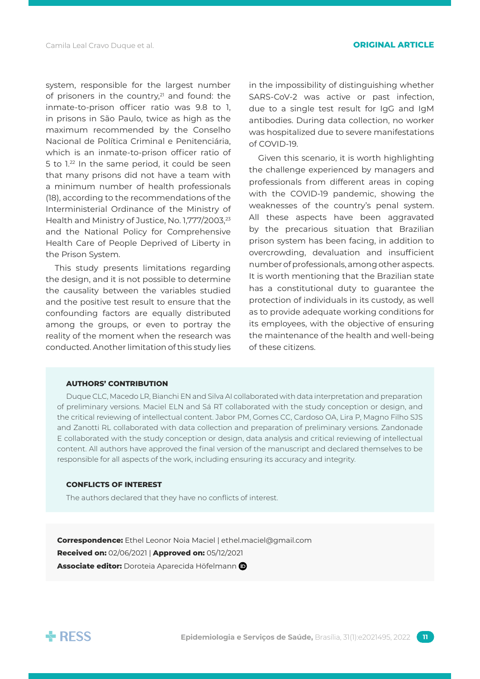system, responsible for the largest number of prisoners in the country,<sup>21</sup> and found: the inmate-to-prison officer ratio was 9.8 to 1, in prisons in São Paulo, twice as high as the maximum recommended by the Conselho Nacional de Política Criminal e Penitenciária, which is an inmate-to-prison officer ratio of 5 to 1.22 In the same period, it could be seen that many prisons did not have a team with a minimum number of health professionals (18), according to the recommendations of the Interministerial Ordinance of the Ministry of Health and Ministry of Justice, No. 1,777/2003,<sup>23</sup> and the National Policy for Comprehensive Health Care of People Deprived of Liberty in the Prison System.

This study presents limitations regarding the design, and it is not possible to determine the causality between the variables studied and the positive test result to ensure that the confounding factors are equally distributed among the groups, or even to portray the reality of the moment when the research was conducted. Another limitation of this study lies

in the impossibility of distinguishing whether SARS-CoV-2 was active or past infection, due to a single test result for IgG and IgM antibodies. During data collection, no worker was hospitalized due to severe manifestations of COVID-19.

Given this scenario, it is worth highlighting the challenge experienced by managers and professionals from different areas in coping with the COVID-19 pandemic, showing the weaknesses of the country's penal system. All these aspects have been aggravated by the precarious situation that Brazilian prison system has been facing, in addition to overcrowding, devaluation and insufficient number of professionals, among other aspects. It is worth mentioning that the Brazilian state has a constitutional duty to guarantee the protection of individuals in its custody, as well as to provide adequate working conditions for its employees, with the objective of ensuring the maintenance of the health and well-being of these citizens.

### **AuthorS' contribution**

Duque CLC, Macedo LR, Bianchi EN and Silva AI collaborated with data interpretation and preparation of preliminary versions. Maciel ELN and Sá RT collaborated with the study conception or design, and the critical reviewing of intellectual content. Jabor PM, Gomes CC, Cardoso OA, Lira P, Magno Filho SJS and Zanotti RL collaborated with data collection and preparation of preliminary versions. Zandonade E collaborated with the study conception or design, data analysis and critical reviewing of intellectual content. All authors have approved the final version of the manuscript and declared themselves to be responsible for all aspects of the work, including ensuring its accuracy and integrity.

### **CONFLICTS OF INTEREST**

The authors declared that they have no conflicts of interest.

**Correspondence:** Ethel Leonor Noia Maciel | ethel.maciel@gmail.com **Received on:** 02/06/2021 | **Approved on:** 05/12/2021 **Associate editor:** Doroteia Aparecida Höfelmann



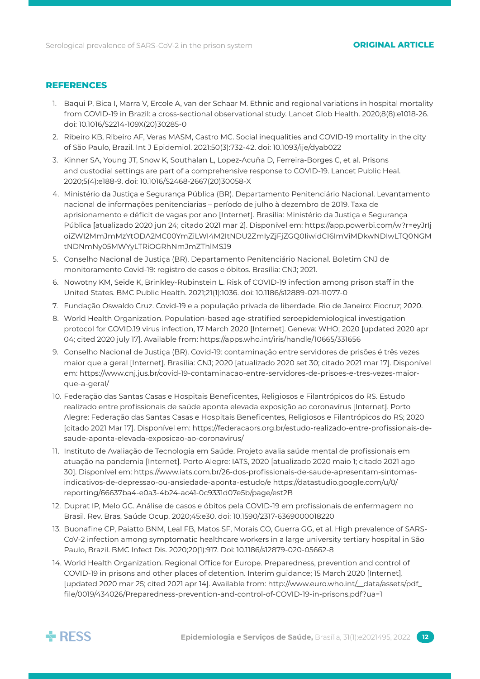## **References**

- 1. Baqui P, Bica I, Marra V, Ercole A, van der Schaar M. Ethnic and regional variations in hospital mortality from COVID-19 in Brazil: a cross-sectional observational study. Lancet Glob Health. 2020;8(8):e1018-26. doi: 10.1016/S2214-109X(20)30285-0
- 2. Ribeiro KB, Ribeiro AF, Veras MASM, Castro MC. Social inequalities and COVID-19 mortality in the city of São Paulo, Brazil. Int J Epidemiol. 2021:50(3):732-42. doi: 10.1093/ije/dyab022
- 3. Kinner SA, Young JT, Snow K, Southalan L, Lopez-Acuña D, Ferreira-Borges C, et al. Prisons and custodial settings are part of a comprehensive response to COVID-19. Lancet Public Heal. 2020;5(4):e188-9. doi: 10.1016/S2468-2667(20)30058-X
- 4. Ministério da Justiça e Segurança Pública (BR). Departamento Penitenciário Nacional. Levantamento nacional de informações penitenciarias – período de julho à dezembro de 2019. Taxa de aprisionamento e déficit de vagas por ano [Internet]. Brasília: Ministério da Justiça e Segurança Pública [atualizado 2020 jun 24; citado 2021 mar 2]. Disponível em: https://app.powerbi.com/w?r=eyJrIj oiZWI2MmJmMzYtODA2MC00YmZiLWI4M2ItNDU2ZmIyZjFjZGQ0IiwidCI6ImViMDkwNDIwLTQ0NGM tNDNmNy05MWYyLTRiOGRhNmJmZThlMSJ9
- 5. Conselho Nacional de Justiça (BR). Departamento Penitenciário Nacional. Boletim CNJ de monitoramento Covid-19: registro de casos e óbitos. Brasília: CNJ; 2021.
- 6. Nowotny KM, Seide K, Brinkley-Rubinstein L. Risk of COVID-19 infection among prison staff in the United States. BMC Public Health. 2021;21(1):1036. doi: 10.1186/s12889-021-11077-0
- 7. Fundação Oswaldo Cruz. Covid-19 e a população privada de liberdade. Rio de Janeiro: Fiocruz; 2020.
- 8. World Health Organization. Population-based age-stratified seroepidemiological investigation protocol for COVID.19 virus infection, 17 March 2020 [Internet]. Geneva: WHO; 2020 [updated 2020 apr 04; cited 2020 july 17]. Available from: https://apps.who.int/iris/handle/10665/331656
- 9. Conselho Nacional de Justiça (BR). Covid-19: contaminação entre servidores de prisões é três vezes maior que a geral [Internet]. Brasília: CNJ; 2020 [atualizado 2020 set 30; citado 2021 mar 17]. Disponível em: https://www.cnj.jus.br/covid-19-contaminacao-entre-servidores-de-prisoes-e-tres-vezes-maiorque-a-geral/
- 10. Federação das Santas Casas e Hospitais Beneficentes, Religiosos e Filantrópicos do RS. Estudo realizado entre profissionais de saúde aponta elevada exposição ao coronavírus [Internet]. Porto Alegre: Federação das Santas Casas e Hospitais Beneficentes, Religiosos e Filantrópicos do RS; 2020 [citado 2021 Mar 17]. Disponível em: https://federacaors.org.br/estudo-realizado-entre-profissionais-desaude-aponta-elevada-exposicao-ao-coronavirus/
- 11. Instituto de Avaliação de Tecnologia em Saúde. Projeto avalia saúde mental de profissionais em atuação na pandemia [Internet]. Porto Alegre: IATS, 2020 [atualizado 2020 maio 1; citado 2021 ago 30]. Disponível em: https://www.iats.com.br/26-dos-profissionais-de-saude-apresentam-sintomasindicativos-de-depressao-ou-ansiedade-aponta-estudo/e https://datastudio.google.com/u/0/ reporting/66637ba4-e0a3-4b24-ac41-0c9331d07e5b/page/est2B
- 12. Duprat IP, Melo GC. Análise de casos e óbitos pela COVID-19 em profissionais de enfermagem no Brasil. Rev. Bras. Saúde Ocup. 2020;45:e30. doi: 10.1590/2317-6369000018220
- 13. Buonafine CP, Paiatto BNM, Leal FB, Matos SF, Morais CO, Guerra GG, et al. High prevalence of SARS-CoV-2 infection among symptomatic healthcare workers in a large university tertiary hospital in São Paulo, Brazil. BMC Infect Dis. 2020;20(1):917. Doi: 10.1186/s12879-020-05662-8
- 14. World Health Organization. Regional Office for Europe. Preparedness, prevention and control of COVID-19 in prisons and other places of detention. Interim guidance; 15 March 2020 [Internet]. [updated 2020 mar 25; cited 2021 apr 14]. Available from: http://www.euro.who.int/\_\_data/assets/pdf\_ file/0019/434026/Preparedness-prevention-and-control-of-COVID-19-in-prisons.pdf?ua=1